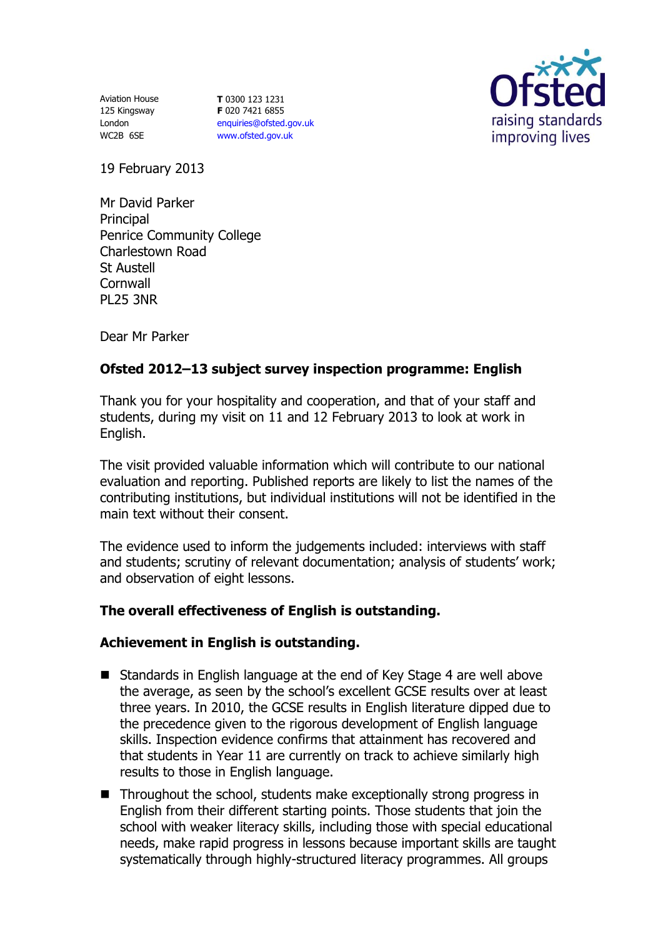Aviation House 125 Kingsway London WC2B 6SE

**T** 0300 123 1231 **F** 020 7421 6855 [enquiries@ofsted.gov.uk](mailto:enquiries@ofsted.gov.uk) [www.ofsted.gov.uk](http://www.ofsted.gov.uk/)



19 February 2013

Mr David Parker **Principal** Penrice Community College Charlestown Road St Austell **Cornwall** PL25 3NR

Dear Mr Parker

# **Ofsted 2012–13 subject survey inspection programme: English**

Thank you for your hospitality and cooperation, and that of your staff and students, during my visit on 11 and 12 February 2013 to look at work in English.

The visit provided valuable information which will contribute to our national evaluation and reporting. Published reports are likely to list the names of the contributing institutions, but individual institutions will not be identified in the main text without their consent.

The evidence used to inform the judgements included: interviews with staff and students; scrutiny of relevant documentation; analysis of students' work; and observation of eight lessons.

## **The overall effectiveness of English is outstanding.**

## **Achievement in English is outstanding.**

- Standards in English language at the end of Key Stage 4 are well above the average, as seen by the school's excellent GCSE results over at least three years. In 2010, the GCSE results in English literature dipped due to the precedence given to the rigorous development of English language skills. Inspection evidence confirms that attainment has recovered and that students in Year 11 are currently on track to achieve similarly high results to those in English language.
- Throughout the school, students make exceptionally strong progress in English from their different starting points. Those students that join the school with weaker literacy skills, including those with special educational needs, make rapid progress in lessons because important skills are taught systematically through highly-structured literacy programmes. All groups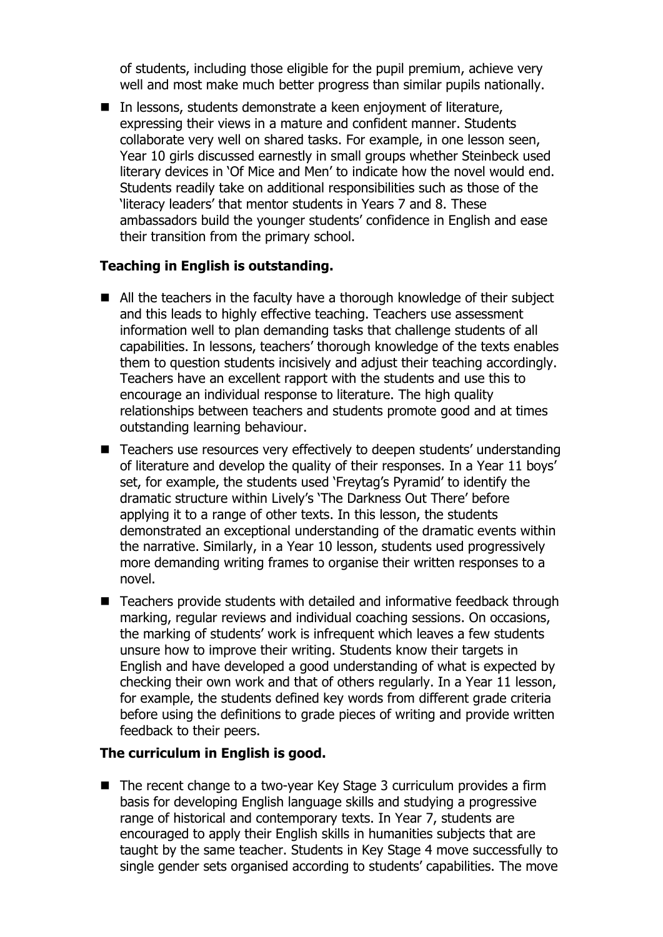of students, including those eligible for the pupil premium, achieve very well and most make much better progress than similar pupils nationally.

 $\blacksquare$  In lessons, students demonstrate a keen enjoyment of literature, expressing their views in a mature and confident manner. Students collaborate very well on shared tasks. For example, in one lesson seen, Year 10 girls discussed earnestly in small groups whether Steinbeck used literary devices in 'Of Mice and Men' to indicate how the novel would end. Students readily take on additional responsibilities such as those of the 'literacy leaders' that mentor students in Years 7 and 8. These ambassadors build the younger students' confidence in English and ease their transition from the primary school.

## **Teaching in English is outstanding.**

- All the teachers in the faculty have a thorough knowledge of their subject and this leads to highly effective teaching. Teachers use assessment information well to plan demanding tasks that challenge students of all capabilities. In lessons, teachers' thorough knowledge of the texts enables them to question students incisively and adjust their teaching accordingly. Teachers have an excellent rapport with the students and use this to encourage an individual response to literature. The high quality relationships between teachers and students promote good and at times outstanding learning behaviour.
- Teachers use resources very effectively to deepen students' understanding of literature and develop the quality of their responses. In a Year 11 boys' set, for example, the students used 'Freytag's Pyramid' to identify the dramatic structure within Lively's 'The Darkness Out There' before applying it to a range of other texts. In this lesson, the students demonstrated an exceptional understanding of the dramatic events within the narrative. Similarly, in a Year 10 lesson, students used progressively more demanding writing frames to organise their written responses to a novel.
- Teachers provide students with detailed and informative feedback through marking, regular reviews and individual coaching sessions. On occasions, the marking of students' work is infrequent which leaves a few students unsure how to improve their writing. Students know their targets in English and have developed a good understanding of what is expected by checking their own work and that of others regularly. In a Year 11 lesson, for example, the students defined key words from different grade criteria before using the definitions to grade pieces of writing and provide written feedback to their peers.

### **The curriculum in English is good.**

■ The recent change to a two-year Key Stage 3 curriculum provides a firm basis for developing English language skills and studying a progressive range of historical and contemporary texts. In Year 7, students are encouraged to apply their English skills in humanities subjects that are taught by the same teacher. Students in Key Stage 4 move successfully to single gender sets organised according to students' capabilities. The move